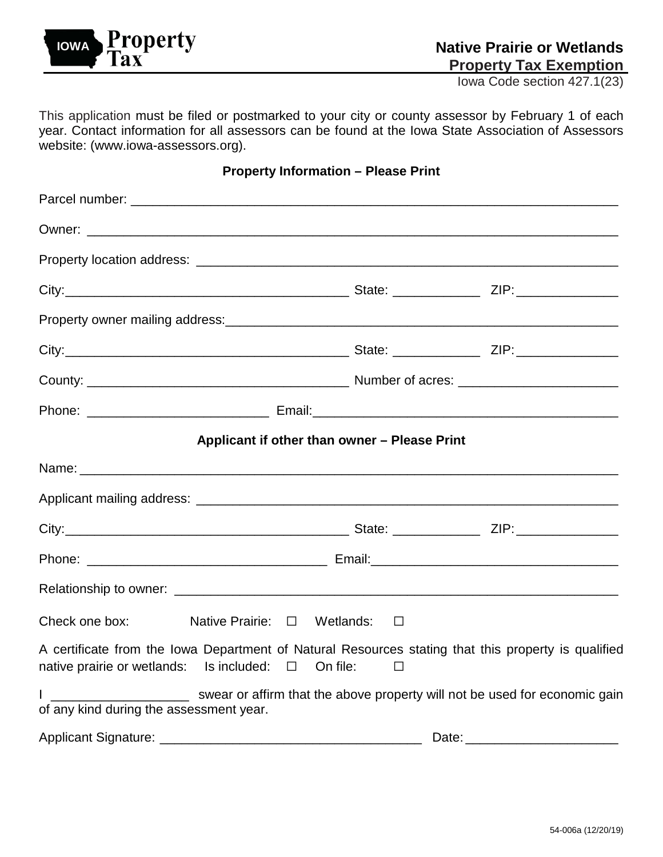

Iowa Code section 427.1(23)

This application must be filed or postmarked to your city or county assessor by February 1 of each year. Contact information for all assessors can be found at the Iowa State Association of Assessors website: [\(www.iowa-assessors.org\)](https://www.iowa-assessors.org/).

## **Property Information – Please Print**

|                                                                                                                                                                 | Applicant if other than owner - Please Print |        |  |
|-----------------------------------------------------------------------------------------------------------------------------------------------------------------|----------------------------------------------|--------|--|
|                                                                                                                                                                 |                                              |        |  |
|                                                                                                                                                                 |                                              |        |  |
|                                                                                                                                                                 |                                              |        |  |
|                                                                                                                                                                 |                                              |        |  |
|                                                                                                                                                                 |                                              |        |  |
| Check one box: Native Prairie: $\Box$ Wetlands: $\Box$                                                                                                          |                                              |        |  |
| A certificate from the Iowa Department of Natural Resources stating that this property is qualified<br>native prairie or wetlands: Is included: $\Box$ On file: |                                              | $\Box$ |  |
| I ________________________ swear or affirm that the above property will not be used for economic gain<br>of any kind during the assessment year.                |                                              |        |  |
|                                                                                                                                                                 |                                              |        |  |